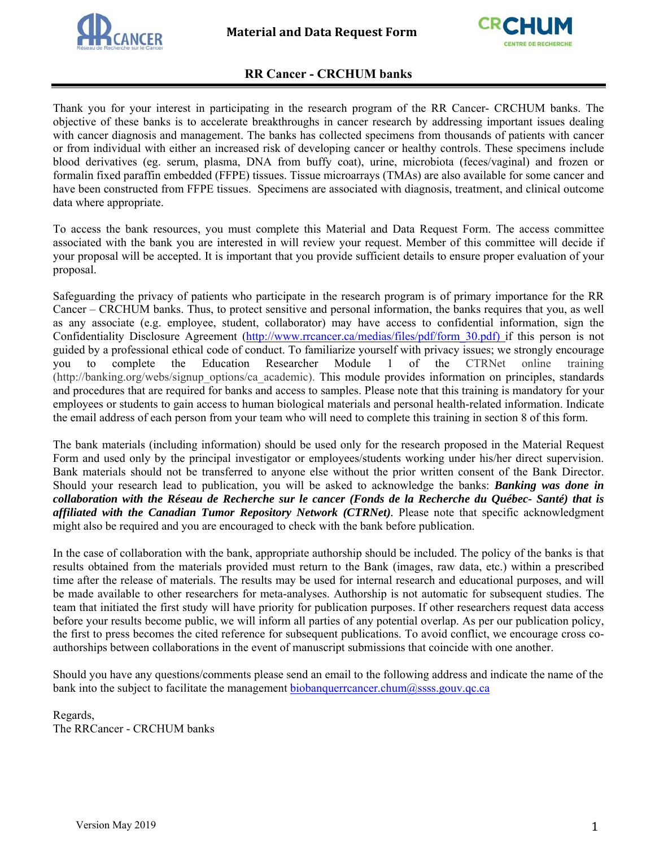



## **RR Cancer - CRCHUM banks**

Thank you for your interest in participating in the research program of the RR Cancer- CRCHUM banks. The objective of these banks is to accelerate breakthroughs in cancer research by addressing important issues dealing with cancer diagnosis and management. The banks has collected specimens from thousands of patients with cancer or from individual with either an increased risk of developing cancer or healthy controls. These specimens include blood derivatives (eg. serum, plasma, DNA from buffy coat), urine, microbiota (feces/vaginal) and frozen or formalin fixed paraffin embedded (FFPE) tissues. Tissue microarrays (TMAs) are also available for some cancer and have been constructed from FFPE tissues. Specimens are associated with diagnosis, treatment, and clinical outcome data where appropriate.

To access the bank resources, you must complete this Material and Data Request Form. The access committee associated with the bank you are interested in will review your request. Member of this committee will decide if your proposal will be accepted. It is important that you provide sufficient details to ensure proper evaluation of your proposal.

Safeguarding the privacy of patients who participate in the research program is of primary importance for the RR Cancer – CRCHUM banks. Thus, to protect sensitive and personal information, the banks requires that you, as well as any associate (e.g. employee, student, collaborator) may have access to confidential information, sign the Confidentiality Disclosure Agreement (http://www.rrcancer.ca/medias/files/pdf/form\_30.pdf) if this person is not guided by a professional ethical code of conduct. To familiarize yourself with privacy issues; we strongly encourage you to complete the Education Researcher Module 1 of the CTRNet online training (http://banking.org/webs/signup\_options/ca\_academic). This module provides information on principles, standards and procedures that are required for banks and access to samples. Please note that this training is mandatory for your employees or students to gain access to human biological materials and personal health-related information. Indicate the email address of each person from your team who will need to complete this training in section 8 of this form.

The bank materials (including information) should be used only for the research proposed in the Material Request Form and used only by the principal investigator or employees/students working under his/her direct supervision. Bank materials should not be transferred to anyone else without the prior written consent of the Bank Director. Should your research lead to publication, you will be asked to acknowledge the banks: *Banking was done in collaboration with the Réseau de Recherche sur le cancer (Fonds de la Recherche du Québec- Santé) that is affiliated with the Canadian Tumor Repository Network (CTRNet).* Please note that specific acknowledgment might also be required and you are encouraged to check with the bank before publication.

In the case of collaboration with the bank, appropriate authorship should be included. The policy of the banks is that results obtained from the materials provided must return to the Bank (images, raw data, etc.) within a prescribed time after the release of materials. The results may be used for internal research and educational purposes, and will be made available to other researchers for meta-analyses. Authorship is not automatic for subsequent studies. The team that initiated the first study will have priority for publication purposes. If other researchers request data access before your results become public, we will inform all parties of any potential overlap. As per our publication policy, the first to press becomes the cited reference for subsequent publications. To avoid conflict, we encourage cross coauthorships between collaborations in the event of manuscript submissions that coincide with one another.

Should you have any questions/comments please send an email to the following address and indicate the name of the bank into the subject to facilitate the management biobanquerrcancer.chum@ssss.gouv.qc.ca

Regards, The RRCancer - CRCHUM banks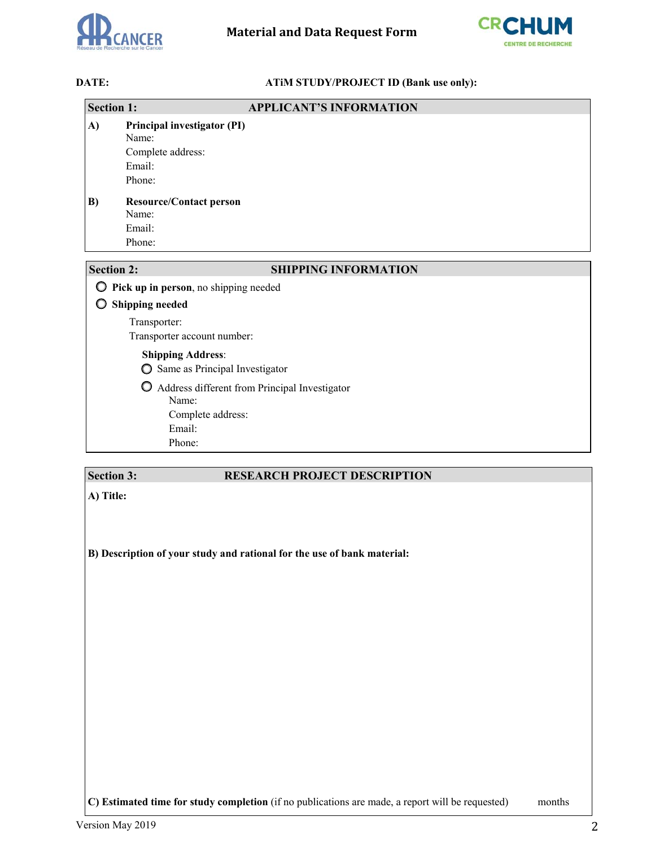



## **DATE: ATIM STUDY/PROJECT ID (Bank use only):**

| <b>Section 1:</b>                          | <b>APPLICANT'S INFORMATION</b>                                                |  |  |  |
|--------------------------------------------|-------------------------------------------------------------------------------|--|--|--|
| A)                                         | Principal investigator (PI)<br>Name:<br>Complete address:<br>Email:<br>Phone: |  |  |  |
| B)                                         | <b>Resource/Contact person</b><br>Name:<br>Email:<br>Phone:                   |  |  |  |
| <b>Section 2:</b>                          | <b>SHIPPING INFORMATION</b>                                                   |  |  |  |
| Pick up in person, no shipping needed<br>O |                                                                               |  |  |  |
|                                            | <b>Shipping needed</b>                                                        |  |  |  |
|                                            | Transporter:<br>Transporter account number:                                   |  |  |  |
|                                            | <b>Shipping Address:</b><br>Same as Principal Investigator<br>O               |  |  |  |
|                                            | $\circ$<br>Address different from Principal Investigator<br>Name:             |  |  |  |
|                                            | Complete address:                                                             |  |  |  |
|                                            |                                                                               |  |  |  |

# **Section 3:** RESEARCH PROJECT DESCRIPTION

**A) Title:** 

**B) Description of your study and rational for the use of bank material:** 

**C) Estimated time for study completion** (if no publications are made, a report will be requested) months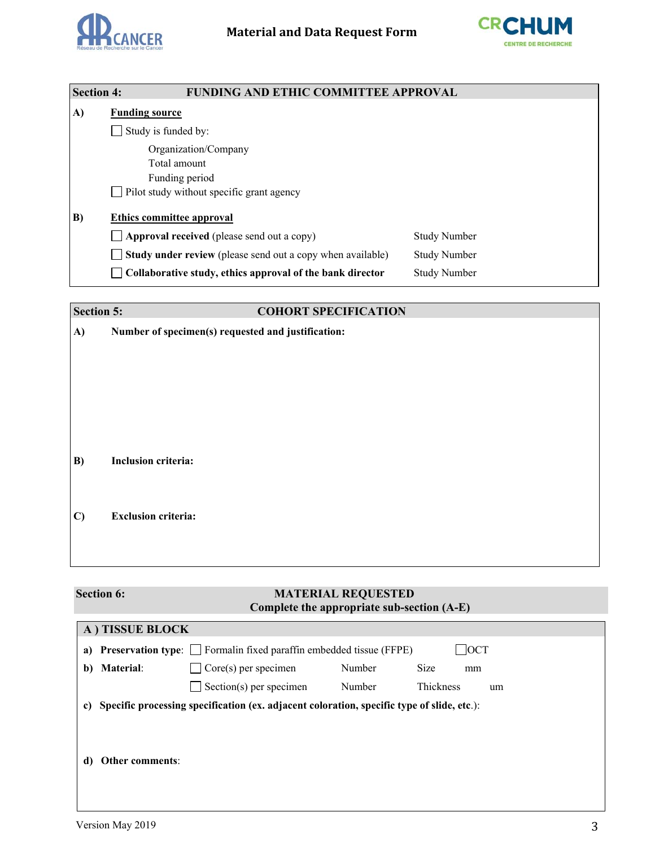



| <b>Section 4:</b> | <b>FUNDING AND ETHIC COMMITTEE APPROVAL</b>                       |                     |
|-------------------|-------------------------------------------------------------------|---------------------|
| A)                | <b>Funding source</b>                                             |                     |
|                   | Study is funded by:                                               |                     |
|                   | Organization/Company                                              |                     |
|                   | Total amount                                                      |                     |
|                   | Funding period                                                    |                     |
|                   | Pilot study without specific grant agency                         |                     |
| B)                | <b>Ethics committee approval</b>                                  |                     |
|                   | $\Box$ Approval received (please send out a copy)                 | <b>Study Number</b> |
|                   | $\Box$ Study under review (please send out a copy when available) | <b>Study Number</b> |
|                   | Collaborative study, ethics approval of the bank director         | <b>Study Number</b> |

| <b>Section 5:</b> |                                                    | <b>COHORT SPECIFICATION</b> |
|-------------------|----------------------------------------------------|-----------------------------|
| A)                | Number of specimen(s) requested and justification: |                             |
|                   |                                                    |                             |
|                   |                                                    |                             |
|                   |                                                    |                             |
|                   |                                                    |                             |
|                   |                                                    |                             |
|                   |                                                    |                             |
| B)                | Inclusion criteria:                                |                             |
|                   |                                                    |                             |
|                   |                                                    |                             |
| $\mathbf{C}$      | <b>Exclusion criteria:</b>                         |                             |
|                   |                                                    |                             |
|                   |                                                    |                             |

# **Section 6:** MATERIAL REQUESTED **Complete the appropriate sub-section (A-E)**

|    | A) TISSUE BLOCK                                                                            |                                |        |                 |  |
|----|--------------------------------------------------------------------------------------------|--------------------------------|--------|-----------------|--|
|    | a) Preservation type: $\Box$ Formalin fixed paraffin embedded tissue (FFPE)<br><b>OCT</b>  |                                |        |                 |  |
| b) | <b>Material:</b>                                                                           | $\Box$ Core(s) per specimen    | Number | Size<br>mm      |  |
|    |                                                                                            | $\Box$ Section(s) per specimen | Number | Thickness<br>um |  |
| C) | Specific processing specification (ex. adjacent coloration, specific type of slide, etc.): |                                |        |                 |  |
|    |                                                                                            |                                |        |                 |  |
| d) | Other comments:                                                                            |                                |        |                 |  |
|    |                                                                                            |                                |        |                 |  |
|    |                                                                                            |                                |        |                 |  |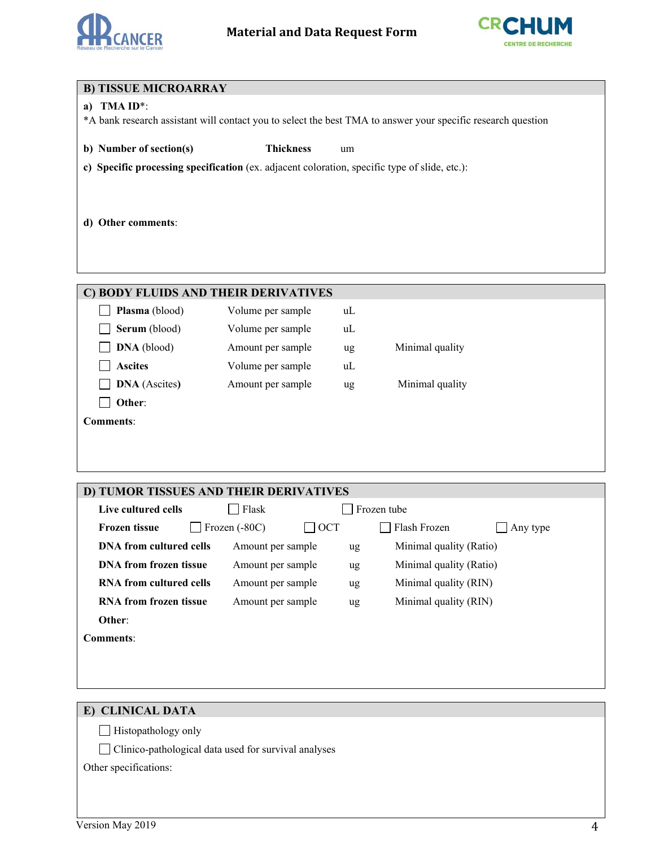



| <b>B) TISSUE MICROARRAY</b>                                                                   |                                |    |                                                                                                              |  |  |
|-----------------------------------------------------------------------------------------------|--------------------------------|----|--------------------------------------------------------------------------------------------------------------|--|--|
| TMA ID*:<br>a)                                                                                |                                |    |                                                                                                              |  |  |
|                                                                                               |                                |    | *A bank research assistant will contact you to select the best TMA to answer your specific research question |  |  |
|                                                                                               | <b>Thickness</b>               |    |                                                                                                              |  |  |
| b) Number of section(s)                                                                       |                                | um |                                                                                                              |  |  |
| c) Specific processing specification (ex. adjacent coloration, specific type of slide, etc.): |                                |    |                                                                                                              |  |  |
|                                                                                               |                                |    |                                                                                                              |  |  |
|                                                                                               |                                |    |                                                                                                              |  |  |
| d) Other comments:                                                                            |                                |    |                                                                                                              |  |  |
|                                                                                               |                                |    |                                                                                                              |  |  |
|                                                                                               |                                |    |                                                                                                              |  |  |
|                                                                                               |                                |    |                                                                                                              |  |  |
| C) BODY FLUIDS AND THEIR DERIVATIVES                                                          |                                |    |                                                                                                              |  |  |
| Plasma (blood)                                                                                | Volume per sample              | uL |                                                                                                              |  |  |
| Serum (blood)                                                                                 | Volume per sample              | uL |                                                                                                              |  |  |
| DNA (blood)                                                                                   | Amount per sample              | ug | Minimal quality                                                                                              |  |  |
| <b>Ascites</b>                                                                                | Volume per sample              | uL |                                                                                                              |  |  |
| <b>DNA</b> (Ascites)                                                                          | Amount per sample              | ug | Minimal quality                                                                                              |  |  |
| Other:                                                                                        |                                |    |                                                                                                              |  |  |
| <b>Comments:</b>                                                                              |                                |    |                                                                                                              |  |  |
|                                                                                               |                                |    |                                                                                                              |  |  |
|                                                                                               |                                |    |                                                                                                              |  |  |
|                                                                                               |                                |    |                                                                                                              |  |  |
| D) TUMOR TISSUES AND THEIR DERIVATIVES                                                        |                                |    |                                                                                                              |  |  |
| Live cultured cells                                                                           | Flask<br>$\mathsf{L}$          |    | Frozen tube                                                                                                  |  |  |
| <b>Frozen tissue</b>                                                                          | Frozen (-80C)<br>$\exists$ oct |    | Flash Frozen<br>Any type                                                                                     |  |  |
| <b>DNA</b> from cultured cells                                                                | Amount per sample              | ug | Minimal quality (Ratio)                                                                                      |  |  |

**DNA from frozen tissue** Amount per sample ug Minimal quality (Ratio) **RNA from cultured cells** Amount per sample ug Minimal quality (RIN) **RNA from frozen tissue** Amount per sample ug Minimal quality (RIN)

## **E) CLINICAL DATA**

**Other**: **Comments**:

Histopathology only

Clinico-pathological data used for survival analyses

Other specifications: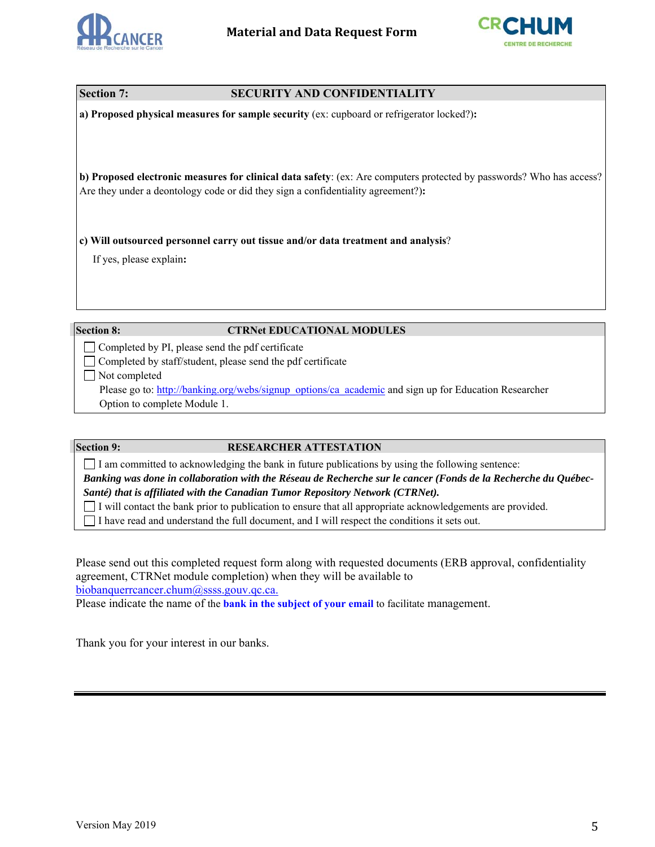



|  |  | <b>Section 7:</b> |  |
|--|--|-------------------|--|
|--|--|-------------------|--|

## **SECURITY AND CONFIDENTIALITY**

**a) Proposed physical measures for sample security** (ex: cupboard or refrigerator locked?)**:** 

**b) Proposed electronic measures for clinical data safety**: (ex: Are computers protected by passwords? Who has access? Are they under a deontology code or did they sign a confidentiality agreement?)**:** 

**c) Will outsourced personnel carry out tissue and/or data treatment and analysis**?

If yes, please explain**:** 

## **Section 8: CTRNet EDUCATIONAL MODULES**

 $\Box$  Completed by PI, please send the pdf certificate

Completed by staff/student, please send the pdf certificate

Not completed

Please go to: http://banking.org/webs/signup\_options/ca\_academic and sign up for Education Researcher Option to complete Module 1.

## **Section 9: RESEARCHER ATTESTATION**

 $\Box$  I am committed to acknowledging the bank in future publications by using the following sentence: *Banking was done in collaboration with the Réseau de Recherche sur le cancer (Fonds de la Recherche du Québec-*

*Santé) that is affiliated with the Canadian Tumor Repository Network (CTRNet).*

I will contact the bank prior to publication to ensure that all appropriate acknowledgements are provided.

I have read and understand the full document, and I will respect the conditions it sets out.

Please send out this completed request form along with requested documents (ERB approval, confidentiality agreement, CTRNet module completion) when they will be available to biobanquerrcancer.chum@ssss.gouv.qc.ca.

Please indicate the name of the **bank in the subject of your email** to facilitate management.

Thank you for your interest in our banks.